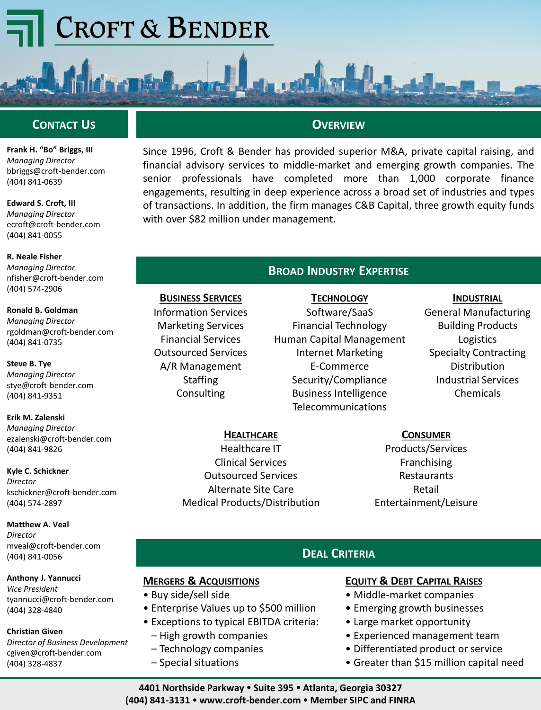# **CROFT & BENDER**



**Frank H. "Bo" Briggs, III** *Managing Director* bbriggs@croft-bender.com (404) 841-0639

**Edward S. Croft, III** *Managing Director* ecroft@croft-bender.com (404) 841-0055

**R. Neale Fisher** *Managing Director* nfisher@croft-bender.com (404) 574-2906

**Ronald B. Goldman** *Managing Director* rgoldman@croft-bender.com (404) 841-0735

**Steve B. Tye** *Managing Director* stye@croft-bender.com (404) 841-9351

**Erik M. Zalenski** *Managing Director* ezalenski@croft-bender.com (404) 841-9826

**Kyle C. Schickner** *Director* kschickner@croft-bender.com (404) 574-2897

**Matthew A. Veal** *Director* mveal@croft-bender.com (404) 841-0056

**Anthony J. Yannucci** *Vice President* tyannucci@croft-bender.com (404) 328-4840

**Christian Given** *Director of Business Development* cgiven@croft-bender.com (404) 328-4837

#### **OVERVIEW**

Since 1996, Croft & Bender has provided superior M&A, private capital raising, and financial advisory services to middle-market and emerging growth companies. The senior professionals have completed more than 1,000 corporate finance engagements, resulting in deep experience across a broad set of industries and types of transactions. In addition, the firm manages C&B Capital, three growth equity funds with over \$82 million under management.

#### **BROAD INDUSTRY EXPERTISE**

**TECHNOLOGY** Software/SaaS Financial Technology Human Capital Management Internet Marketing E-Commerce Security/Compliance Business Intelligence Telecommunications

#### **INDUSTRIAL**

General Manufacturing Building Products Logistics Specialty Contracting Distribution Industrial Services Chemicals

**CONSUMER**

Products/Services Franchising **Restaurants** Retail Entertainment/Leisure

### **DEAL CRITERIA**

#### **EQUITY & DEBT CAPITAL RAISES**

- Middle-market companies
- Emerging growth businesses
- Large market opportunity
- Experienced management team
- Differentiated product or service
- Greater than \$15 million capital need

**4401 Northside Parkway Suite 395 Atlanta, Georgia 30327 (404) 841-3131 www.croft-bender.com Member SIPC and FINRA**

#### **HEALTHCARE**

Healthcare IT Clinical Services Outsourced Services Alternate Site Care Medical Products/Distribution

**MERGERS & ACQUISITIONS**

**BUSINESS SERVICES** Information Services Marketing Services Financial Services Outsourced Services A/R Management **Staffing Consulting** 

– High growth companies – Technology companies – Special situations

• Enterprise Values up to \$500 million • Exceptions to typical EBITDA criteria:

• Buy side/sell side